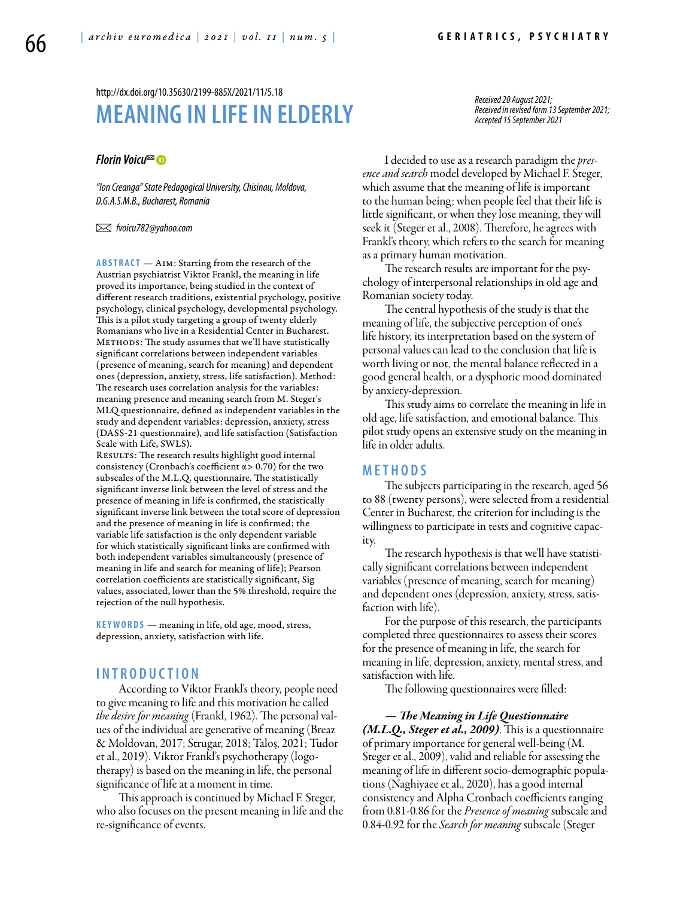#### http://dx.doi.org/10.35630/2199-885X/2021/11/5.18

# **MEANING IN LIFEIN ELDERLY**

#### *[Florin Voicu](https://orcid.org/0000-0001-7476-241X)*

*"Ion Creanga" State Pedagogical University, Chisinau, Moldova, D.G.A.S.M.B., Bucharest, Romania*

 *fvoicu782@yahoo.com* 

**ABSTRACT** — AIM: Starting from the research of the Austrian psychiatrist Viktor Frankl, the meaning in life proved its importance, being studied in the context of different research traditions, existential psychology, positive psychology, clinical psychology, developmental psychology. This is a pilot study targeting a group of twenty elderly Romanians who live in a Residential Center in Bucharest. METHODS: The study assumes that we'll have statistically significant correlations between independent variables (presence of meaning, search for meaning) and dependent ones (depression, anxiety, stress, life satisfaction). Method: The research uses correlation analysis for the variables: meaning presence and meaning search from M. Steger's MLQ questionnaire, defined as independent variables in the study and dependent variables: depression, anxiety, stress (DASS-21 questionnaire), and life satisfaction (Satisfaction Scale with Life, SWLS).

RESULTS: The research results highlight good internal consistency (Cronbach's coefficient  $\alpha$  > 0.70) for the two subscales of the M.L.Q. questionnaire. The statistically significant inverse link between the level of stress and the presence of meaning in life is confirmed, the statistically significant inverse link between the total score of depression and the presence of meaning in life is confirmed; the variable life satisfaction is the only dependent variable for which statistically significant links are confirmed with both independent variables simultaneously (presence of meaning in life and search for meaning of life); Pearson correlation coefficients are statistically significant, Sig values, associated, lower than the 5% threshold, require the rejection of the null hypothesis.

KEYWORDS — meaning in life, old age, mood, stress, depression, anxiety, satisfaction with life.

### **I n t r o d uct i o n**

According to Viktor Frankl's theory, people need to give meaning to life and this motivation he called *the desire for meaning* (Frankl, 1962). The personal values of the individual are generative of meaning (Breaz & Moldovan, 2017; Strugar, 2018; Taloș, 2021; Tudor et al., 2019). Viktor Frankl's psychotherapy (logotherapy) is based on the meaning in life, the personal significance of life at a moment in time.

This approach is continued by Michael F. Steger, who also focuses on the present meaning in life and the re-significance of events.

*Received 20 August 2021; Received in revised form 13 September 2021; Accepted 15 September 2021*

I decided to use as a research paradigm the *presence and search* model developed by Michael F. Steger, which assume that the meaning of life is important to the human being; when people feel that their life is little significant, or when they lose meaning, they will seek it (Steger et al., 2008). Therefore, he agrees with Frankl's theory, which refers to the search for meaning as a primary human motivation.

The research results are important for the psychology of interpersonal relationships in old age and Romanian society today.

The central hypothesis of the study is that the meaning of life, the subjective perception of one's life history, its interpretation based on the system of personal values can lead to the conclusion that life is worth living or not, the mental balance reflected in a good general health, or a dysphoric mood dominated by anxiety-depression.

This study aims to correlate the meaning in life in old age, life satisfaction, and emotional balance. This pilot study opens an extensive study on the meaning in life in older adults.

#### **MET H ODS**

The subjects participating in the research, aged 56 to 88 (twenty persons), were selected from a residential Center in Bucharest, the criterion for including is the willingness to participate in tests and cognitive capacity.

The research hypothesis is that we'll have statistically significant correlations between independent variables (presence of meaning, search for meaning) and dependent ones (depression, anxiety, stress, satisfaction with life).

For the purpose of this research, the participants completed three questionnaires to assess their scores for the presence of meaning in life, the search for meaning in life, depression, anxiety, mental stress, and satisfaction with life.

The following questionnaires were filled:

*— The Meaning in Life Questionnaire (M.L.Q., Steger et al., 2009)*. This is a questionnaire of primary importance for general well-being (M. Steger et al., 2009), valid and reliable for assessing the meaning of life in different socio-demographic populations (Naghiyaee et al., 2020), has a good internal consistency and Alpha Cronbach coefficients ranging from 0.81-0.86 for the *Presence of meaning* subscale and 0.84-0.92 for the *Search for meaning* subscale (Steger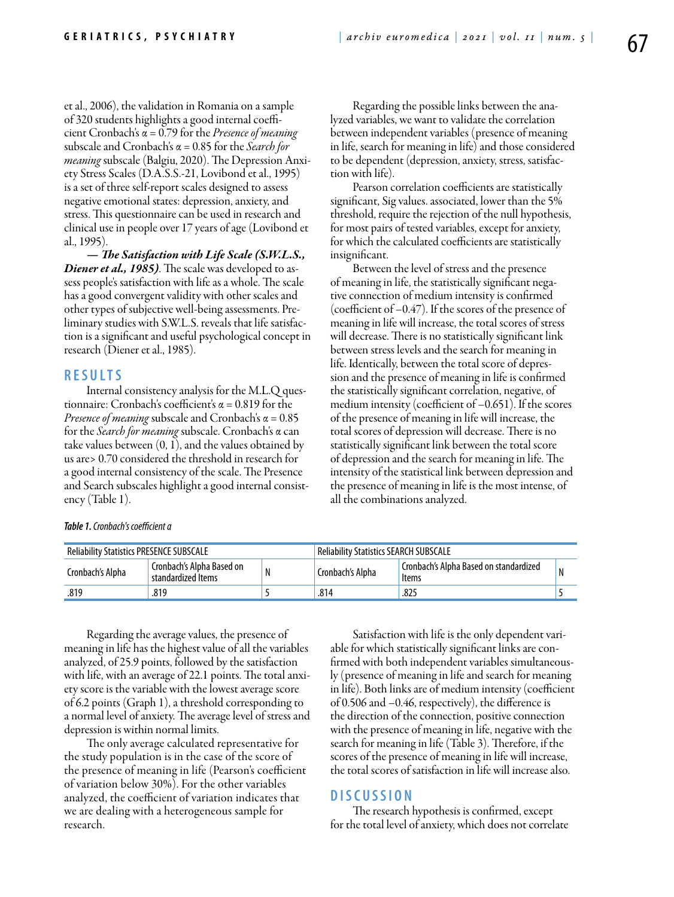et al., 2006), the validation in Romania on a sample of 320 students highlights a good internal coefficient Cronbach's α = 0.79 for the *Presence of meaning* subscale and Cronbach's α = 0.85 for the *Search for meaning* subscale (Balgiu, 2020). The Depression Anxiety Stress Scales (D.A.S.S.-21, Lovibond et al., 1995) is a set of three self-report scales designed to assess negative emotional states: depression, anxiety, and stress. This questionnaire can be used in research and clinical use in people over 17 years of age (Lovibond et al., 1995).

*— The Satisfaction with Life Scale (S.W.L.S., Diener et al., 1985)*. The scale was developed to assess people's satisfaction with life as a whole. The scale has a good convergent validity with other scales and other types of subjective well-being assessments. Preliminary studies with S.W.L.S. reveals that life satisfaction is a significant and useful psychological concept in research (Diener et al., 1985).

#### **RES U LTS**

Internal consistency analysis for the M.L.Q questionnaire: Cronbach's coefficient's  $\alpha$  = 0.819 for the *Presence of meaning* subscale and Cronbach's α = 0.85 for the *Search for meaning* subscale. Cronbach's α can take values between (0, 1), and the values obtained by us are> 0.70 considered the threshold in research for a good internal consistency of the scale. The Presence and Search subscales highlight a good internal consistency (Table 1).

Regarding the possible links between the analyzed variables, we want to validate the correlation between independent variables (presence of meaning in life, search for meaning in life) and those considered to be dependent (depression, anxiety, stress, satisfaction with life).

Pearson correlation coefficients are statistically significant, Sig values. associated, lower than the 5% threshold, require the rejection of the null hypothesis, for most pairs of tested variables, except for anxiety, for which the calculated coefficients are statistically insignificant.

Between the level of stress and the presence of meaning in life, the statistically significant negative connection of medium intensity is confirmed (coefficient of –0.47). If the scores of the presence of meaning in life will increase, the total scores of stress will decrease. There is no statistically significant link between stress levels and the search for meaning in life. Identically, between the total score of depression and the presence of meaning in life is confirmed the statistically significant correlation, negative, of medium intensity (coefficient of –0.651). If the scores of the presence of meaning in life will increase, the total scores of depression will decrease. There is no statistically significant link between the total score of depression and the search for meaning in life. The intensity of the statistical link between depression and the presence of meaning in life is the most intense, of all the combinations analyzed.

| <b>Reliability Statistics PRESENCE SUBSCALE</b> |                                                 |  | Reliability Statistics SEARCH SUBSCALE |                                                   |  |  |
|-------------------------------------------------|-------------------------------------------------|--|----------------------------------------|---------------------------------------------------|--|--|
| Cronbach's Alpha                                | Cronbach's Alpha Based on<br>standardized Items |  | Cronbach's Alpha                       | . Cronbach's Alpha Based on standardized<br>Items |  |  |
| .819                                            | .819                                            |  | .814                                   | .825                                              |  |  |

Regarding the average values, the presence of meaning in life has the highest value of all the variables analyzed, of 25.9 points, followed by the satisfaction with life, with an average of 22.1 points. The total anxiety score is the variable with the lowest average score of 6.2 points (Graph 1), a threshold corresponding to a normal level of anxiety. The average level of stress and depression is within normal limits.

The only average calculated representative for the study population is in the case of the score of the presence of meaning in life (Pearson's coefficient of variation below 30%). For the other variables analyzed, the coefficient of variation indicates that we are dealing with a heterogeneous sample for research.

Satisfaction with life is the only dependent variable for which statistically significant links are confirmed with both independent variables simultaneously (presence of meaning in life and search for meaning in life). Both links are of medium intensity (coefficient of 0.506 and –0.46, respectively), the difference is the direction of the connection, positive connection with the presence of meaning in life, negative with the search for meaning in life (Table 3). Therefore, if the scores of the presence of meaning in life will increase, the total scores of satisfaction in life will increase also.

## **DISC U SSION**

The research hypothesis is confirmed, except for the total level of anxiety, which does not correlate